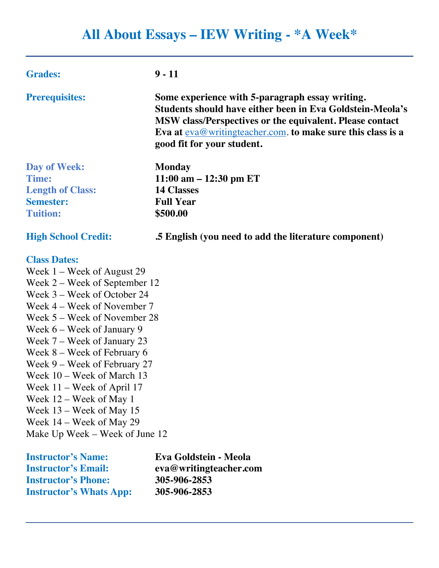# **All About Essays – IEW Writing - \*A Week\***

| <b>Grades:</b>                                             | $9 - 11$                                                                                                                                                                                                                                                                |  |
|------------------------------------------------------------|-------------------------------------------------------------------------------------------------------------------------------------------------------------------------------------------------------------------------------------------------------------------------|--|
| <b>Prerequisites:</b>                                      | Some experience with 5-paragraph essay writing.<br>Students should have either been in Eva Goldstein-Meola's<br>MSW class/Perspectives or the equivalent. Please contact<br>Eva at $eva@writing teacher.com$ to make sure this class is a<br>good fit for your student. |  |
| Day of Week:                                               | <b>Monday</b>                                                                                                                                                                                                                                                           |  |
| <b>Time:</b>                                               | $11:00$ am $-12:30$ pm ET                                                                                                                                                                                                                                               |  |
| <b>Length of Class:</b>                                    | <b>14 Classes</b>                                                                                                                                                                                                                                                       |  |
| <b>Semester:</b>                                           | <b>Full Year</b>                                                                                                                                                                                                                                                        |  |
| <b>Tuition:</b>                                            | \$500.00                                                                                                                                                                                                                                                                |  |
| <b>High School Credit:</b>                                 | .5 English (you need to add the literature component)                                                                                                                                                                                                                   |  |
| <b>Class Dates:</b>                                        |                                                                                                                                                                                                                                                                         |  |
| Week $1$ – Week of August 29                               |                                                                                                                                                                                                                                                                         |  |
| Week 2 – Week of September 12                              |                                                                                                                                                                                                                                                                         |  |
| Week 3 – Week of October 24                                |                                                                                                                                                                                                                                                                         |  |
| Week 4 – Week of November 7                                |                                                                                                                                                                                                                                                                         |  |
| Week 5 – Week of November 28                               |                                                                                                                                                                                                                                                                         |  |
| Week $6$ – Week of January 9                               |                                                                                                                                                                                                                                                                         |  |
| Week 7 – Week of January 23                                |                                                                                                                                                                                                                                                                         |  |
| Week $8 -$ Week of February 6                              |                                                                                                                                                                                                                                                                         |  |
| Week 9 – Week of February 27<br>Week 10 – Week of March 13 |                                                                                                                                                                                                                                                                         |  |
| Week $11 -$ Week of April 17                               |                                                                                                                                                                                                                                                                         |  |
| Week 12 - Week of May 1                                    |                                                                                                                                                                                                                                                                         |  |
| Week 13 – Week of May 15                                   |                                                                                                                                                                                                                                                                         |  |
| Week $14$ – Week of May 29                                 |                                                                                                                                                                                                                                                                         |  |
|                                                            |                                                                                                                                                                                                                                                                         |  |

Make Up Week – Week of June 12

| <b>Instructor's Name:</b>      | Eva Goldstein - Meola  |
|--------------------------------|------------------------|
| <b>Instructor's Email:</b>     | eva@writingteacher.com |
| <b>Instructor's Phone:</b>     | 305-906-2853           |
| <b>Instructor's Whats App:</b> | 305-906-2853           |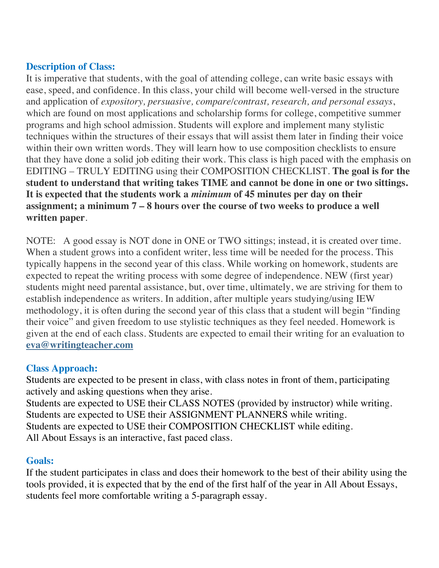## **Description of Class:**

It is imperative that students, with the goal of attending college, can write basic essays with ease, speed, and confidence. In this class, your child will become well-versed in the structure and application of *expository, persuasive, compare/contrast, research, and personal essays*, which are found on most applications and scholarship forms for college, competitive summer programs and high school admission. Students will explore and implement many stylistic techniques within the structures of their essays that will assist them later in finding their voice within their own written words. They will learn how to use composition checklists to ensure that they have done a solid job editing their work. This class is high paced with the emphasis on EDITING – TRULY EDITING using their COMPOSITION CHECKLIST. **The goal is for the student to understand that writing takes TIME and cannot be done in one or two sittings. It is expected that the students work a** *minimum* **of 45 minutes per day on their assignment; a minimum 7 – 8 hours over the course of two weeks to produce a well written paper**.

NOTE: A good essay is NOT done in ONE or TWO sittings; instead, it is created over time. When a student grows into a confident writer, less time will be needed for the process. This typically happens in the second year of this class. While working on homework, students are expected to repeat the writing process with some degree of independence. NEW (first year) students might need parental assistance, but, over time, ultimately, we are striving for them to establish independence as writers. In addition, after multiple years studying/using IEW methodology, it is often during the second year of this class that a student will begin "finding their voice" and given freedom to use stylistic techniques as they feel needed. Homework is given at the end of each class. Students are expected to email their writing for an evaluation to **eva@writingteacher.com**

#### **Class Approach:**

Students are expected to be present in class, with class notes in front of them, participating actively and asking questions when they arise. Students are expected to USE their CLASS NOTES (provided by instructor) while writing. Students are expected to USE their ASSIGNMENT PLANNERS while writing.

Students are expected to USE their COMPOSITION CHECKLIST while editing.

All About Essays is an interactive, fast paced class.

#### **Goals:**

If the student participates in class and does their homework to the best of their ability using the tools provided, it is expected that by the end of the first half of the year in All About Essays, students feel more comfortable writing a 5-paragraph essay.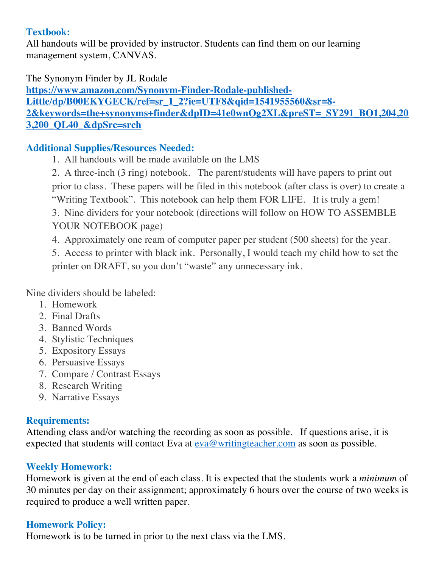## **Textbook:**

All handouts will be provided by instructor. Students can find them on our learning management system, CANVAS.

The Synonym Finder by JL Rodale **https://www.amazon.com/Synonym-Finder-Rodale-published-Little/dp/B00EKYGECK/ref=sr\_1\_2?ie=UTF8&qid=1541955560&sr=8- 2&keywords=the+synonyms+finder&dpID=41e0wnOg2XL&preST=\_SY291\_BO1,204,20 3,200\_QL40\_&dpSrc=srch**

# **Additional Supplies/Resources Needed:**

- 1. All handouts will be made available on the LMS
- 2. A three-inch (3 ring) notebook. The parent/students will have papers to print out prior to class. These papers will be filed in this notebook (after class is over) to create a "Writing Textbook". This notebook can help them FOR LIFE. It is truly a gem!
- 3. Nine dividers for your notebook (directions will follow on HOW TO ASSEMBLE YOUR NOTEBOOK page)
- 4. Approximately one ream of computer paper per student (500 sheets) for the year.
- 5. Access to printer with black ink. Personally, I would teach my child how to set the printer on DRAFT, so you don't "waste" any unnecessary ink.

Nine dividers should be labeled:

- 1. Homework
- 2. Final Drafts
- 3. Banned Words
- 4. Stylistic Techniques
- 5. Expository Essays
- 6. Persuasive Essays
- 7. Compare / Contrast Essays
- 8. Research Writing
- 9. Narrative Essays

# **Requirements:**

Attending class and/or watching the recording as soon as possible. If questions arise, it is expected that students will contact Eva at eva@writingteacher.com as soon as possible.

# **Weekly Homework:**

Homework is given at the end of each class. It is expected that the students work a *minimum* of 30 minutes per day on their assignment; approximately 6 hours over the course of two weeks is required to produce a well written paper.

# **Homework Policy:**

Homework is to be turned in prior to the next class via the LMS.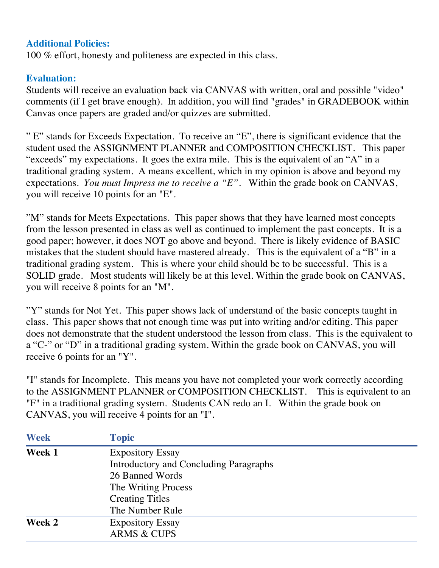#### **Additional Policies:**

100 % effort, honesty and politeness are expected in this class.

## **Evaluation:**

Students will receive an evaluation back via CANVAS with written, oral and possible "video" comments (if I get brave enough). In addition, you will find "grades" in GRADEBOOK within Canvas once papers are graded and/or quizzes are submitted.

" E" stands for Exceeds Expectation. To receive an "E", there is significant evidence that the student used the ASSIGNMENT PLANNER and COMPOSITION CHECKLIST. This paper "exceeds" my expectations. It goes the extra mile. This is the equivalent of an "A" in a traditional grading system. A means excellent, which in my opinion is above and beyond my expectations. *You must Impress me to receive a "E".* Within the grade book on CANVAS, you will receive 10 points for an "E".

"M" stands for Meets Expectations. This paper shows that they have learned most concepts from the lesson presented in class as well as continued to implement the past concepts. It is a good paper; however, it does NOT go above and beyond. There is likely evidence of BASIC mistakes that the student should have mastered already. This is the equivalent of a "B" in a traditional grading system. This is where your child should be to be successful. This is a SOLID grade. Most students will likely be at this level. Within the grade book on CANVAS, you will receive 8 points for an "M".

"Y" stands for Not Yet. This paper shows lack of understand of the basic concepts taught in class. This paper shows that not enough time was put into writing and/or editing. This paper does not demonstrate that the student understood the lesson from class. This is the equivalent to a "C-" or "D" in a traditional grading system. Within the grade book on CANVAS, you will receive 6 points for an "Y".

"I" stands for Incomplete. This means you have not completed your work correctly according to the ASSIGNMENT PLANNER or COMPOSITION CHECKLIST. This is equivalent to an "F" in a traditional grading system. Students CAN redo an I. Within the grade book on CANVAS, you will receive 4 points for an "I".

| <b>Week</b> | <b>Topic</b>                           |
|-------------|----------------------------------------|
| Week 1      | <b>Expository Essay</b>                |
|             | Introductory and Concluding Paragraphs |
|             | 26 Banned Words                        |
|             | The Writing Process                    |
|             | <b>Creating Titles</b>                 |
|             | The Number Rule                        |
| Week 2      | <b>Expository Essay</b>                |
|             | <b>ARMS &amp; CUPS</b>                 |